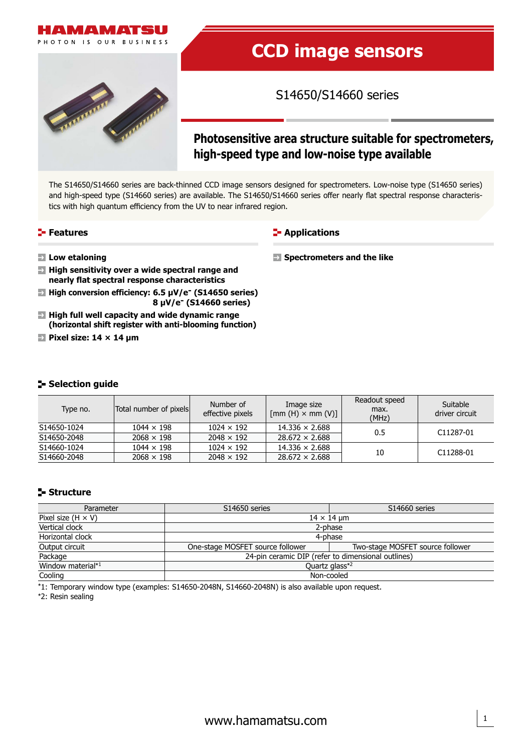

# **CCD image sensors**

S14650/S14660 series

## **Photosensitive area structure suitable for spectrometers, high-speed type and low-noise type available**

The S14650/S14660 series are back-thinned CCD image sensors designed for spectrometers. Low-noise type (S14650 series) and high-speed type (S14660 series) are available. The S14650/S14660 series offer nearly flat spectral response characteristics with high quantum efficiency from the UV to near infrared region.

#### **Features**

#### **E-** Applications

**Spectrometers and the like**

- **Low etaloning**
- **High sensitivity over a wide spectral range and nearly flat spectral response characteristics**
- $\rightarrow$  **High conversion efficiency: 6.5 µV/e<sup>-</sup> (S14650 series) 8 µV/e- (S14660 series)**
- **High full well capacity and wide dynamic range (horizontal shift register with anti-blooming function)**
- **Pixel size: 14 × 14 µm**

#### **Selection guide**

| Type no.    | Total number of pixels | Number of<br>effective pixels | Image size<br>$\lceil \text{mm (H)} \times \text{mm (V)} \rceil$ | Readout speed<br>max.<br>(MHz) | Suitable<br>driver circuit |
|-------------|------------------------|-------------------------------|------------------------------------------------------------------|--------------------------------|----------------------------|
| S14650-1024 | $1044 \times 198$      | $1024 \times 192$             | $14.336 \times 2.688$                                            | 0.5                            | C11287-01                  |
| S14650-2048 | $2068 \times 198$      | $2048 \times 192$             | $28.672 \times 2.688$                                            |                                |                            |
| S14660-1024 | $1044 \times 198$      | $1024 \times 192$             | $14.336 \times 2.688$                                            |                                |                            |
| S14660-2048 | $2068 \times 198$      | $2048 \times 192$             | $28.672 \times 2.688$                                            | 10                             | C11288-01                  |

## **Structure**

| Parameter                 | S14650 series                                      | S14660 series                    |  |  |  |  |
|---------------------------|----------------------------------------------------|----------------------------------|--|--|--|--|
| Pixel size $(H \times V)$ | $14 \times 14$ µm                                  |                                  |  |  |  |  |
| Vertical clock            | 2-phase                                            |                                  |  |  |  |  |
| Horizontal clock          | 4-phase                                            |                                  |  |  |  |  |
| Output circuit            | One-stage MOSFET source follower                   | Two-stage MOSFET source follower |  |  |  |  |
| Package                   | 24-pin ceramic DIP (refer to dimensional outlines) |                                  |  |  |  |  |
| Window material*1         | Quartz glass*2                                     |                                  |  |  |  |  |
| Cooling                   | Non-cooled                                         |                                  |  |  |  |  |

\*1: Temporary window type (examples: S14650-2048N, S14660-2048N) is also available upon request.

\*2: Resin sealing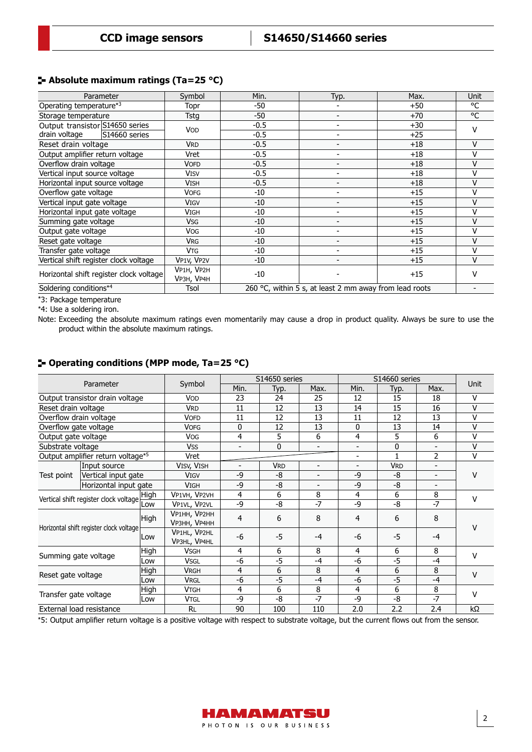#### **Absolute maximum ratings (Ta=25 °C)**

| Parameter                               | Symbol                   | Min.                                                   | Typ.                     | Max.  | <b>Unit</b> |
|-----------------------------------------|--------------------------|--------------------------------------------------------|--------------------------|-------|-------------|
| Operating temperature*3                 | Topr                     | -50                                                    |                          | $+50$ | °C          |
| Storage temperature                     | Tstg                     | -50                                                    | $\overline{\phantom{0}}$ | $+70$ | °C          |
| Output transistor S14650 series         | <b>VOD</b>               | $-0.5$                                                 |                          | $+30$ | v           |
| drain voltage<br>S14660 series          |                          | $-0.5$                                                 | $\overline{\phantom{a}}$ | $+25$ |             |
| Reset drain voltage                     | <b>VRD</b>               | $-0.5$                                                 |                          | $+18$ | V           |
| Output amplifier return voltage         | Vret                     | $-0.5$                                                 |                          | $+18$ | v           |
| Overflow drain voltage                  | VOFD                     | $-0.5$                                                 |                          | $+18$ | V           |
| Vertical input source voltage           | <b>VISV</b>              | $-0.5$                                                 |                          | $+18$ | ٧           |
| Horizontal input source voltage         | <b>VISH</b>              | $-0.5$                                                 | $\overline{a}$           | $+18$ | V           |
| Overflow gate voltage                   | <b>VOFG</b>              | $-10$                                                  |                          | $+15$ | ٧           |
| Vertical input gate voltage             | <b>VIGV</b>              | $-10$                                                  |                          | $+15$ | V           |
| Horizontal input gate voltage           | Vigh                     | $-10$                                                  |                          | $+15$ | v           |
| Summing gate voltage                    | <b>V<sub>SG</sub></b>    | $-10$                                                  | ۰                        | $+15$ | V           |
| Output gate voltage                     | <b>Vog</b>               | $-10$                                                  | $\overline{\phantom{0}}$ | $+15$ | v           |
| Reset gate voltage                      | <b>VRG</b>               | $-10$                                                  |                          | $+15$ | v           |
| Transfer gate voltage                   | <b>V<sub>TG</sub></b>    | $-10$                                                  |                          | $+15$ | V           |
| Vertical shift register clock voltage   | VP1V, VP2V               | $-10$                                                  |                          | $+15$ | $\vee$      |
| Horizontal shift register clock voltage | VP1H, VP2H<br>VP3H, VP4H | $-10$                                                  |                          | $+15$ | v           |
| Soldering conditions*4<br>Tsol          |                          | 260 °C, within 5 s, at least 2 mm away from lead roots |                          |       |             |

\*3: Package temperature

\*4: Use a soldering iron.

Note: Exceeding the absolute maximum ratings even momentarily may cause a drop in product quality. Always be sure to use the product within the absolute maximum ratings.

|                                         |                                   |      |                                     | S14650 series |            | S14660 series | <b>Unit</b>    |                       |                          |              |  |
|-----------------------------------------|-----------------------------------|------|-------------------------------------|---------------|------------|---------------|----------------|-----------------------|--------------------------|--------------|--|
|                                         | Parameter                         |      | Symbol                              | Min.          | Typ.       | Max.          | Min.           | Typ.                  | Max.                     |              |  |
|                                         | Output transistor drain voltage   |      | VOD                                 | 23            | 24         | 25            | 12             | 15                    | 18                       | $\vee$       |  |
| Reset drain voltage                     |                                   |      | <b>VRD</b>                          | 11            | 12         | 13            | 14             | 15                    | 16                       | $\vee$       |  |
| Overflow drain voltage                  |                                   |      | <b>VOFD</b>                         | 11            | 12         | 13            | 11             | 12                    | 13                       | $\vee$       |  |
| Overflow gate voltage                   |                                   |      | <b>VOFG</b>                         | 0             | 12         | 13            | 0              | 13                    | 14                       | v            |  |
| Output gate voltage                     |                                   |      | <b>VOG</b>                          | 4             | 5          | 6             | 4              | 5                     | 6                        | $\vee$       |  |
| Substrate voltage                       |                                   |      | <b>VSS</b>                          |               | 0          |               | $\blacksquare$ | $\mathbf{0}$          |                          | $\vee$       |  |
|                                         | Output amplifier return voltage*5 |      | Vret                                |               |            |               | $\blacksquare$ |                       | 2                        | $\vee$       |  |
|                                         | Input source                      |      | VISV, VISH                          |               | <b>VRD</b> | ٠             | $\blacksquare$ | <b>V<sub>RD</sub></b> |                          |              |  |
| Test point                              | Vertical input gate               |      | <b>VIGV</b>                         | $-9$          | -8         |               | -9             | -8                    | $\overline{\phantom{0}}$ | v            |  |
| Horizontal input gate                   |                                   |      | <b>VIGH</b>                         | $-9$          | -8         |               | -9             | $-8$                  | ٠                        |              |  |
| Vertical shift register clock voltage   |                                   | High | VP1VH, VP2VH                        | 4             | 6          | 8             | 4              | 6                     | 8                        | v            |  |
|                                         |                                   | Low  | VP1VL, VP2VL                        | $-9$          | -8         | $-7$          | -9             | $-8$                  | $-7$                     |              |  |
| Horizontal shift register clock voltage |                                   | High | VP1HH, VP2HH<br><b>VP3HH, VP4HH</b> | 4             | 6          | 8             | 4              | 6                     | 8                        | v            |  |
|                                         |                                   | Low  | VP1HL, VP2HL<br>VP3HL, VP4HL        | $-6$          | $-5$       | $-4$          | -6             | $-5$                  | $-4$                     |              |  |
|                                         |                                   | High | <b>VSGH</b>                         | 4             | 6          | 8             | 4              | 6                     | 8                        | $\mathsf{V}$ |  |
| Summing gate voltage                    |                                   | Low  | <b>VSGL</b>                         | -6            | $-5$       | $-4$          | -6             | $-5$                  | $-4$                     |              |  |
| Reset gate voltage                      |                                   | High | <b>VRGH</b>                         | 4             | 6          | 8             | 4              | 6                     | 8                        | $\mathsf{V}$ |  |
|                                         |                                   | Low  | <b>VRGL</b>                         | $-6$          | $-5$       | $-4$          | $-6$           | $-5$                  | $-4$                     |              |  |
|                                         |                                   | High | Vtgh                                | 4             | 6          | 8             | 4              | 6                     | 8                        | $\mathsf{V}$ |  |
| Transfer gate voltage                   |                                   | Low  | <b>VTGL</b>                         | -9            | -8         | $-7$          | -9             | -8                    | $-7$                     |              |  |
|                                         | External load resistance          |      | <b>RL</b>                           | 90            | 100        | 110           | 2.0            | 2.2                   | 2.4                      | kΩ           |  |

## **Operating conditions (MPP mode, Ta=25 °C)**

\*5: Output amplifier return voltage is a positive voltage with respect to substrate voltage, but the current flows out from the sensor.

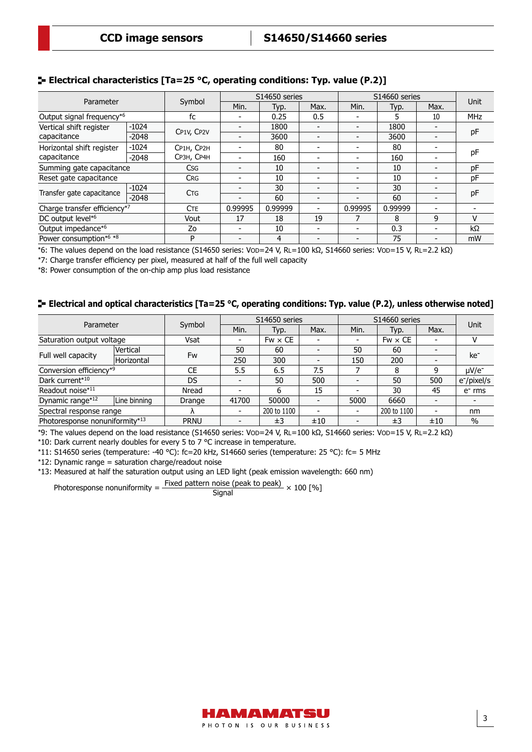#### **Electrical characteristics [Ta=25 °C, operating conditions: Typ. value (P.2)]**

|                                          |         |                       |         | S14650 series |      | S14660 series            |         |      |            |
|------------------------------------------|---------|-----------------------|---------|---------------|------|--------------------------|---------|------|------------|
| Parameter                                |         | Symbol                | Min.    | Typ.          | Max. | Min.                     | Typ.    | Max. | Unit       |
| Output signal frequency*6                |         | fc                    |         | 0.25          | 0.5  |                          | 5       | 10   | <b>MHz</b> |
| Vertical shift register                  | $-1024$ |                       |         | 1800          |      |                          | 1800    |      |            |
| capacitance                              | $-2048$ | CP1V, CP2V            |         | 3600          |      | $\overline{\phantom{0}}$ | 3600    |      | pF         |
| Horizontal shift register                | $-1024$ | CP1H, CP2H            |         | 80            |      |                          | 80      |      |            |
| capacitance                              | $-2048$ | CP3H, CP4H            |         | 160           |      |                          | 160     |      | pF         |
| Summing gate capacitance                 |         | Csg                   |         | 10            |      |                          | 10      |      | pF         |
| Reset gate capacitance                   |         | <b>CRG</b>            |         | 10            |      |                          | 10      |      | рF         |
|                                          | $-1024$ | <b>C<sub>TG</sub></b> |         | 30            |      |                          | 30      |      |            |
| Transfer gate capacitance                | $-2048$ |                       |         | 60            |      |                          | 60      |      | pF         |
| Charge transfer efficiency <sup>*7</sup> |         | <b>CTE</b>            | 0.99995 | 0.99999       |      | 0.99995                  | 0.99999 |      |            |
| DC output level* <sup>6</sup>            |         | Vout                  | 17      | 18            | 19   |                          | 8       | 9    | v          |
| Output impedance*6                       |         | Zo                    |         | 10            |      |                          | 0.3     |      | kΩ         |
| Power consumption*6 *8                   |         | P                     |         | 4             |      |                          | 75      |      | mW         |

\*6: The values depend on the load resistance (S14650 series: VOD=24 V, RL=100 kΩ, S14660 series: VOD=15 V, RL=2.2 kΩ)

\*7: Charge transfer efficiency per pixel, measured at half of the full well capacity

\*8: Power consumption of the on-chip amp plus load resistance

#### **E** Electrical and optical characteristics [Ta=25 °C, operating conditions: Typ. value (P.2), unless otherwise noted]

| Parameter                      |              | Symbol      |                          | S14650 series  |      | S14660 series  | <b>Unit</b>    |                          |                         |  |
|--------------------------------|--------------|-------------|--------------------------|----------------|------|----------------|----------------|--------------------------|-------------------------|--|
|                                |              |             | Min.                     | Typ.           | Max. | Min.           | Typ.           | Max.                     |                         |  |
| Saturation output voltage      |              | Vsat        | $\overline{\phantom{a}}$ | $Fw \times CE$ |      |                | $Fw \times CE$ |                          | v                       |  |
|                                | Vertical     | Fw          | 50                       | 60             |      | 50             | 60             |                          | ke <sup>-</sup>         |  |
| Full well capacity             | Horizontal   |             | 250                      | 300            |      | 150            | 200            |                          |                         |  |
| Conversion efficiency*9        |              | CE          | 5.5                      | 6.5            | 7.5  |                | 8              | q                        | $\mu$ V/e-              |  |
| Dark current*10                |              | <b>DS</b>   | $\overline{\phantom{0}}$ | 50             | 500  | $\blacksquare$ | 50             | 500                      | e <sup>-</sup> /pixel/s |  |
| Readout noise*11               |              | Nread       |                          | 6              | 15   |                | 30             | 45                       | $e-$ rms                |  |
| Dynamic range*12               | Line binning | Drange      | 41700                    | 50000          |      | 5000           | 6660           |                          |                         |  |
| Spectral response range        |              |             |                          | 200 to 1100    |      | $\blacksquare$ | 200 to 1100    | $\overline{\phantom{0}}$ | nm                      |  |
| Photoresponse nonuniformity*13 |              | <b>PRNU</b> |                          | ±3             | ±10  |                | ±3             | ±10                      | $\%$                    |  |

\*9: The values depend on the load resistance (S14650 series: VOD=24 V, RL=100 kΩ, S14660 series: VOD=15 V, RL=2.2 kΩ)

\*10: Dark current nearly doubles for every 5 to 7 °C increase in temperature.

\*11: S14650 series (temperature: -40 °C): fc=20 kHz, S14660 series (temperature: 25 °C): fc= 5 MHz

\*12: Dynamic range = saturation charge/readout noise

\*13: Measured at half the saturation output using an LED light (peak emission wavelength: 660 nm)

Photoresponse nonuniformity =  $\frac{\text{Fixed pattern noise (peak to peak)}}{\text{Signal}} \times 100 \text{ [%]}$ 

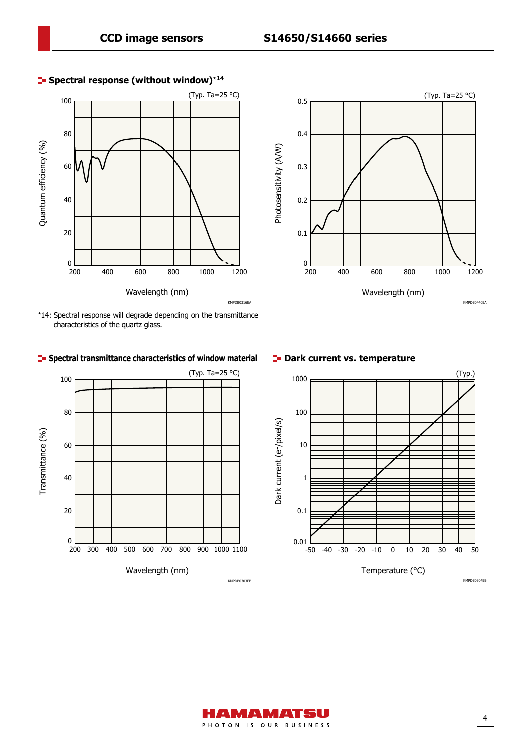

#### **Spectral response (without window)**\***<sup>14</sup>**



## **Spectral transmittance characteristics of window material**





#### **E** Dark current vs. temperature



KMPDB0304EB

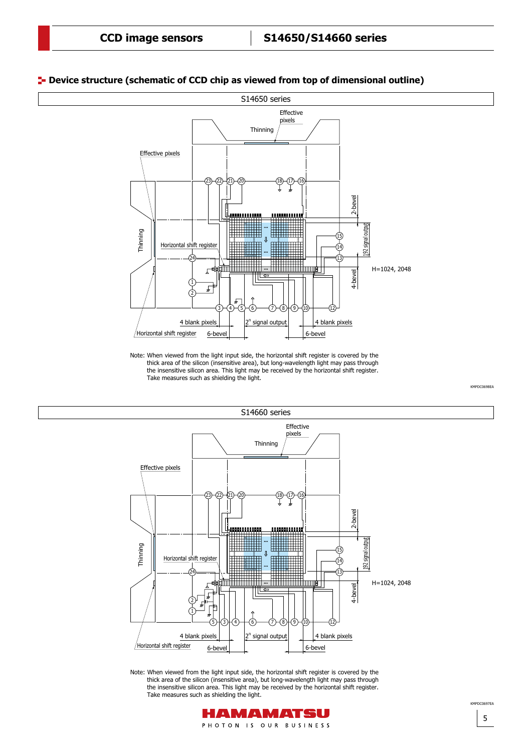#### **Device structure (schematic of CCD chip as viewed from top of dimensional outline)**



Note: When viewed from the light input side, the horizontal shift register is covered by the thick area of the silicon (insensitive area), but long-wavelength light may pass through the insensitive silicon area. This light may be received by the horizontal shift register. Take measures such as shielding the light.



Note: When viewed from the light input side, the horizontal shift register is covered by the thick area of the silicon (insensitive area), but long-wavelength light may pass through the insensitive silicon area. This light may be received by the horizontal shift register. Take measures such as shielding the light.



5 KMPDC0607EA

KMPDC0698EA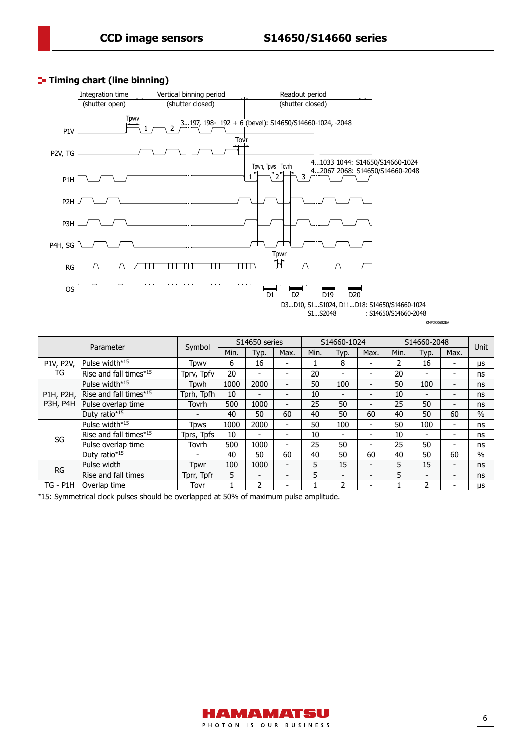## **Timing chart (line binning)**



KMPDC0682EA

| Parameter |                                    |                          | S14650 series |                |                          | S14660-1024 |                          |                          | S14660-2048 |                          |                          | <b>Unit</b>   |
|-----------|------------------------------------|--------------------------|---------------|----------------|--------------------------|-------------|--------------------------|--------------------------|-------------|--------------------------|--------------------------|---------------|
|           |                                    | Symbol                   | Min.          | Typ.           | Max.                     | Min.        | Typ.                     | Max.                     | Min.        | Typ.                     | Max.                     |               |
| P1V, P2V, | Pulse width* <sup>15</sup>         | Tpwv                     | 6             | 16             | -                        |             | 8                        | $\overline{\phantom{0}}$ | 2           | 16                       | $\overline{\phantom{0}}$ | μs            |
| TG        | Rise and fall times* <sup>15</sup> | Tprv, Tpfv               | 20            | -              | -                        | 20          | $\overline{\phantom{0}}$ | $\overline{\phantom{a}}$ | 20          |                          | $\overline{\phantom{a}}$ | ns            |
|           | Pulse width* <sup>15</sup>         | Tpwh                     | 1000          | 2000           | $\overline{\phantom{0}}$ | 50          | 100                      | $\overline{\phantom{a}}$ | 50          | 100                      | $\overline{\phantom{a}}$ | ns            |
| P1H, P2H, | Rise and fall times* <sup>15</sup> | Tprh, Tpfh               | 10            | -              | $\overline{\phantom{0}}$ | 10          | $\overline{\phantom{a}}$ | $\overline{\phantom{a}}$ | 10          | $\overline{\phantom{0}}$ | $\overline{\phantom{a}}$ | ns            |
| P3H, P4H  | Pulse overlap time                 | Tovrh                    | 500           | 1000           | $\overline{\phantom{0}}$ | 25          | 50                       | $\overline{\phantom{a}}$ | 25          | 50                       | $\overline{\phantom{0}}$ | ns            |
|           | Duty ratio*15                      | $\overline{\phantom{0}}$ | 40            | 50             | 60                       | 40          | 50                       | 60                       | 40          | 50                       | 60                       | $\frac{0}{0}$ |
|           | Pulse width*15                     | <b>Tpws</b>              | 1000          | 2000           | -                        | 50          | 100                      | $\overline{\phantom{a}}$ | 50          | 100                      | $\overline{\phantom{a}}$ | ns            |
| SG        | Rise and fall times* <sup>15</sup> | Tprs, Tpfs               | 10            | $\blacksquare$ | -                        | 10          | $\overline{\phantom{a}}$ | $\overline{\phantom{a}}$ | 10          | -                        | $\blacksquare$           | ns            |
|           | Pulse overlap time                 | Tovrh                    | 500           | 1000           | -                        | 25          | 50                       | $\overline{\phantom{a}}$ | 25          | 50                       | $\overline{\phantom{a}}$ | ns            |
|           | Duty ratio*15                      | $\overline{\phantom{0}}$ | 40            | 50             | 60                       | 40          | 50                       | 60                       | 40          | 50                       | 60                       | $\frac{0}{0}$ |
| <b>RG</b> | Pulse width                        | Tpwr                     | 100           | 1000           | $\overline{\phantom{0}}$ | 5           | 15                       | $\overline{\phantom{a}}$ | 5           | 15                       | $\overline{\phantom{a}}$ | ns            |
|           | Rise and fall times                | Tprr, Tpfr               | 5             | $\blacksquare$ | $\overline{\phantom{0}}$ | 5           | $\overline{\phantom{a}}$ | $\overline{\phantom{a}}$ | 5           | $\overline{\phantom{0}}$ | $\overline{\phantom{a}}$ | ns            |
| TG - P1H  | Overlap time                       | Tovr                     |               | 2              | -                        |             | 2                        | $\overline{\phantom{a}}$ |             | 2                        | $\overline{\phantom{0}}$ | μs            |

\*15: Symmetrical clock pulses should be overlapped at 50% of maximum pulse amplitude.

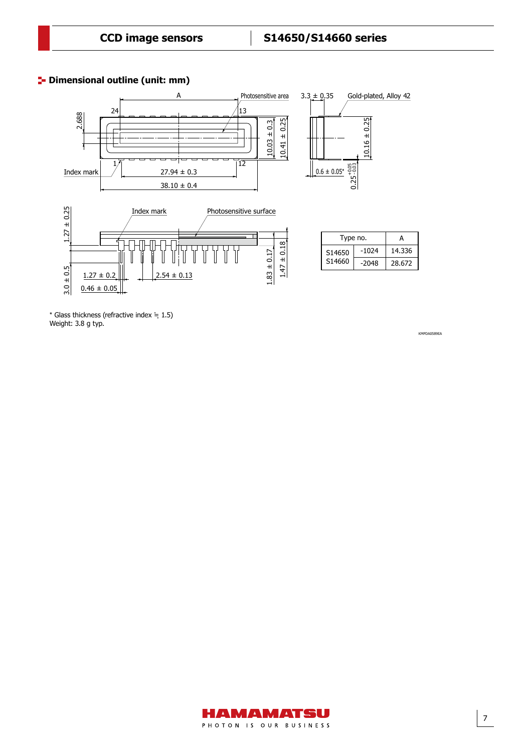## **<sup>1</sup>** Dimensional outline (unit: mm)



 $*$  Glass thickness (refractive index  $\dot{=}$  1.5) Weight: 3.8 g typ.

KMPDA0589EA

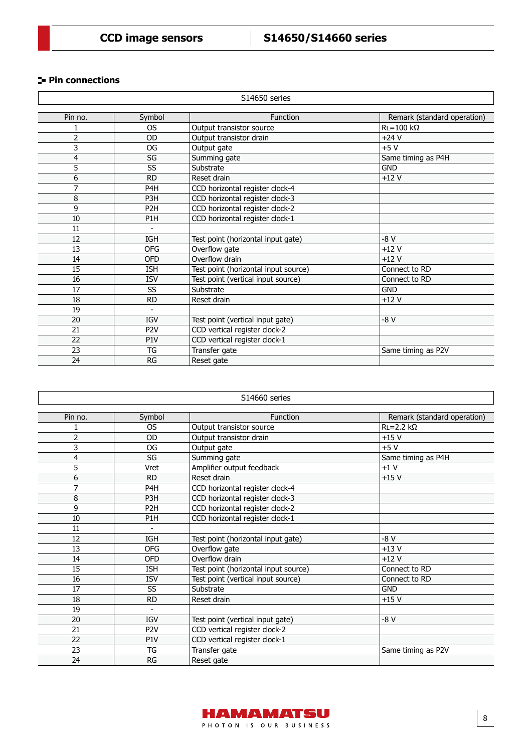## **Pin connections**

| S14650 series  |                          |                                      |                             |  |  |  |  |
|----------------|--------------------------|--------------------------------------|-----------------------------|--|--|--|--|
|                |                          |                                      |                             |  |  |  |  |
| Pin no.        | Symbol                   | <b>Function</b>                      | Remark (standard operation) |  |  |  |  |
|                | <b>OS</b>                | Output transistor source             | $R = 100 k\Omega$           |  |  |  |  |
| 2              | <b>OD</b>                | Output transistor drain              | $+24V$                      |  |  |  |  |
| 3              | OG                       | Output gate                          | $+5V$                       |  |  |  |  |
| 4              | SG                       | Summing gate                         | Same timing as P4H          |  |  |  |  |
| $\overline{5}$ | SS                       | Substrate                            | <b>GND</b>                  |  |  |  |  |
| 6              | <b>RD</b>                | Reset drain                          | $+12V$                      |  |  |  |  |
| $\overline{7}$ | P <sub>4</sub> H         | CCD horizontal register clock-4      |                             |  |  |  |  |
| 8              | P <sub>3</sub> H         | CCD horizontal register clock-3      |                             |  |  |  |  |
| 9              | P <sub>2</sub> H         | CCD horizontal register clock-2      |                             |  |  |  |  |
| 10             | P1H                      | CCD horizontal register clock-1      |                             |  |  |  |  |
| 11             |                          |                                      |                             |  |  |  |  |
| 12             | <b>IGH</b>               | Test point (horizontal input gate)   | $-8V$                       |  |  |  |  |
| 13             | <b>OFG</b>               | Overflow gate                        | $+12V$                      |  |  |  |  |
| 14             | <b>OFD</b>               | Overflow drain                       | $+12V$                      |  |  |  |  |
| 15             | <b>ISH</b>               | Test point (horizontal input source) | Connect to RD               |  |  |  |  |
| 16             | <b>ISV</b>               | Test point (vertical input source)   | Connect to RD               |  |  |  |  |
| 17             | SS                       | Substrate                            | <b>GND</b>                  |  |  |  |  |
| 18             | <b>RD</b>                | Reset drain                          | $+12V$                      |  |  |  |  |
| 19             | $\overline{\phantom{a}}$ |                                      |                             |  |  |  |  |
| 20             | <b>IGV</b>               | Test point (vertical input gate)     | $-8V$                       |  |  |  |  |
| 21             | P <sub>2V</sub>          | CCD vertical register clock-2        |                             |  |  |  |  |
| 22             | P <sub>1</sub> V         | CCD vertical register clock-1        |                             |  |  |  |  |
| 23             | TG                       | Transfer gate                        | Same timing as P2V          |  |  |  |  |
| 24             | RG                       | Reset gate                           |                             |  |  |  |  |

| S14660 series  |                          |                                      |                             |  |  |  |  |
|----------------|--------------------------|--------------------------------------|-----------------------------|--|--|--|--|
|                |                          |                                      |                             |  |  |  |  |
| Pin no.        | Symbol                   | <b>Function</b>                      | Remark (standard operation) |  |  |  |  |
| 1              | <b>OS</b>                | Output transistor source             | $RL = 2.2 k\Omega$          |  |  |  |  |
| $\overline{2}$ | OD                       | Output transistor drain              | $+15V$                      |  |  |  |  |
| 3              | OG                       | Output gate                          | $+5V$                       |  |  |  |  |
| 4              | SG                       | Summing gate                         | Same timing as P4H          |  |  |  |  |
| 5              | Vret                     | Amplifier output feedback            | $+1V$                       |  |  |  |  |
| 6              | <b>RD</b>                | Reset drain                          | $+15V$                      |  |  |  |  |
| 7              | P <sub>4</sub> H         | CCD horizontal register clock-4      |                             |  |  |  |  |
| 8              | P <sub>3</sub> H         | CCD horizontal register clock-3      |                             |  |  |  |  |
| 9              | P <sub>2</sub> H         | CCD horizontal register clock-2      |                             |  |  |  |  |
| 10             | P <sub>1</sub> H         | CCD horizontal register clock-1      |                             |  |  |  |  |
| 11             | $\overline{\phantom{a}}$ |                                      |                             |  |  |  |  |
| 12             | <b>IGH</b>               | Test point (horizontal input gate)   | -8 V                        |  |  |  |  |
| 13             | <b>OFG</b>               | Overflow gate                        | $+13V$                      |  |  |  |  |
| 14             | <b>OFD</b>               | Overflow drain                       | $+12V$                      |  |  |  |  |
| 15             | <b>ISH</b>               | Test point (horizontal input source) | Connect to RD               |  |  |  |  |
| 16             | <b>ISV</b>               | Test point (vertical input source)   | Connect to RD               |  |  |  |  |
| 17             | SS                       | Substrate                            | <b>GND</b>                  |  |  |  |  |
| 18             | <b>RD</b>                | Reset drain                          | $+15V$                      |  |  |  |  |
| 19             | $\blacksquare$           |                                      |                             |  |  |  |  |
| 20             | IGV                      | Test point (vertical input gate)     | -8 V                        |  |  |  |  |
| 21             | P <sub>2V</sub>          | CCD vertical register clock-2        |                             |  |  |  |  |
| 22             | P <sub>1</sub> V         | CCD vertical register clock-1        |                             |  |  |  |  |
| 23             | TG                       | Transfer gate                        | Same timing as P2V          |  |  |  |  |
| 24             | <b>RG</b>                | Reset gate                           |                             |  |  |  |  |

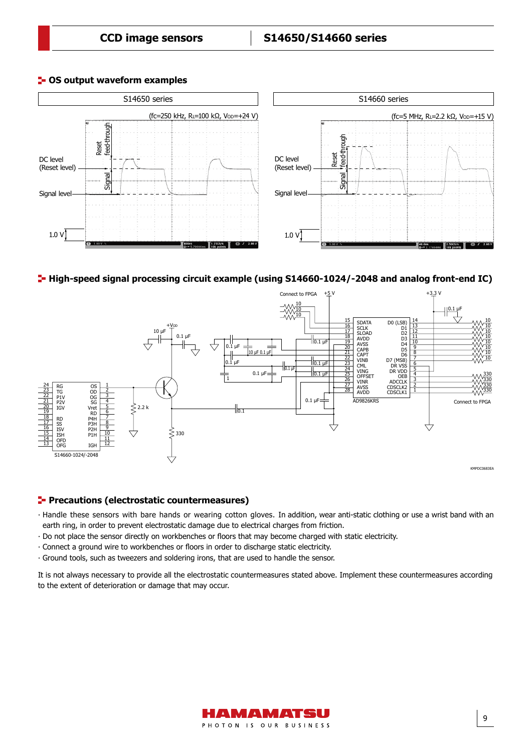Signal



#### **<sup>1</sup>- OS output waveform examples**

#### High-speed signal processing circuit example (using S14660-1024/-2048 and analog front-end IC)



#### **Precautions (electrostatic countermeasures)**

- ∙ Handle these sensors with bare hands or wearing cotton gloves. In addition, wear anti-static clothing or use a wrist band with an earth ring, in order to prevent electrostatic damage due to electrical charges from friction.
- ∙ Do not place the sensor directly on workbenches or floors that may become charged with static electricity.
- ∙ Connect a ground wire to workbenches or floors in order to discharge static electricity.
- ∙ Ground tools, such as tweezers and soldering irons, that are used to handle the sensor.

It is not always necessary to provide all the electrostatic countermeasures stated above. Implement these countermeasures according to the extent of deterioration or damage that may occur.